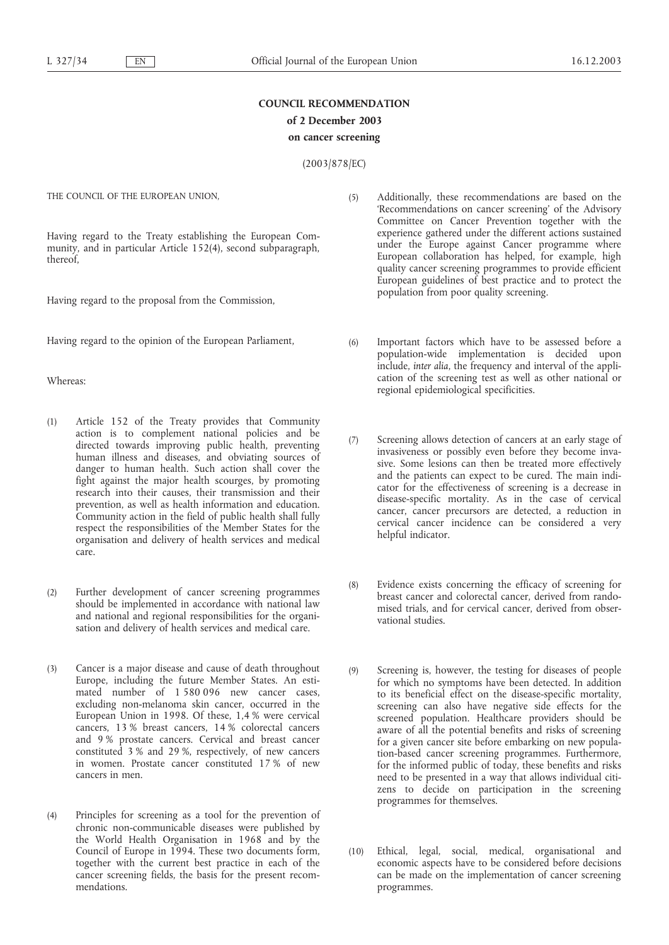# **COUNCIL RECOMMENDATION of 2 December 2003 on cancer screening**

(2003/878/EC)

THE COUNCIL OF THE EUROPEAN UNION,

Having regard to the Treaty establishing the European Community, and in particular Article 152(4), second subparagraph, thereof,

Having regard to the proposal from the Commission,

Having regard to the opinion of the European Parliament,

### Whereas:

- (1) Article 152 of the Treaty provides that Community action is to complement national policies and be directed towards improving public health, preventing human illness and diseases, and obviating sources of danger to human health. Such action shall cover the fight against the major health scourges, by promoting research into their causes, their transmission and their prevention, as well as health information and education. Community action in the field of public health shall fully respect the responsibilities of the Member States for the organisation and delivery of health services and medical care.
- (2) Further development of cancer screening programmes should be implemented in accordance with national law and national and regional responsibilities for the organisation and delivery of health services and medical care.
- (3) Cancer is a major disease and cause of death throughout Europe, including the future Member States. An estimated number of 1 580 096 new cancer cases, excluding non-melanoma skin cancer, occurred in the European Union in 1998. Of these, 1,4 % were cervical cancers, 13 % breast cancers, 14 % colorectal cancers and 9 % prostate cancers. Cervical and breast cancer constituted 3 % and 29 %, respectively, of new cancers in women. Prostate cancer constituted 17 % of new cancers in men.
- (4) Principles for screening as a tool for the prevention of chronic non-communicable diseases were published by the World Health Organisation in 1968 and by the Council of Europe in 1994. These two documents form, together with the current best practice in each of the cancer screening fields, the basis for the present recommendations.
- (5) Additionally, these recommendations are based on the 'Recommendations on cancer screening' of the Advisory Committee on Cancer Prevention together with the experience gathered under the different actions sustained under the Europe against Cancer programme where European collaboration has helped, for example, high quality cancer screening programmes to provide efficient European guidelines of best practice and to protect the population from poor quality screening.
- (6) Important factors which have to be assessed before a population-wide implementation is decided upon include, *inter alia*, the frequency and interval of the application of the screening test as well as other national or regional epidemiological specificities.
- (7) Screening allows detection of cancers at an early stage of invasiveness or possibly even before they become invasive. Some lesions can then be treated more effectively and the patients can expect to be cured. The main indicator for the effectiveness of screening is a decrease in disease-specific mortality. As in the case of cervical cancer, cancer precursors are detected, a reduction in cervical cancer incidence can be considered a very helpful indicator.
- (8) Evidence exists concerning the efficacy of screening for breast cancer and colorectal cancer, derived from randomised trials, and for cervical cancer, derived from observational studies.
- (9) Screening is, however, the testing for diseases of people for which no symptoms have been detected. In addition to its beneficial effect on the disease-specific mortality, screening can also have negative side effects for the screened population. Healthcare providers should be aware of all the potential benefits and risks of screening for a given cancer site before embarking on new population-based cancer screening programmes. Furthermore, for the informed public of today, these benefits and risks need to be presented in a way that allows individual citizens to decide on participation in the screening programmes for themselves.
- (10) Ethical, legal, social, medical, organisational and economic aspects have to be considered before decisions can be made on the implementation of cancer screening programmes.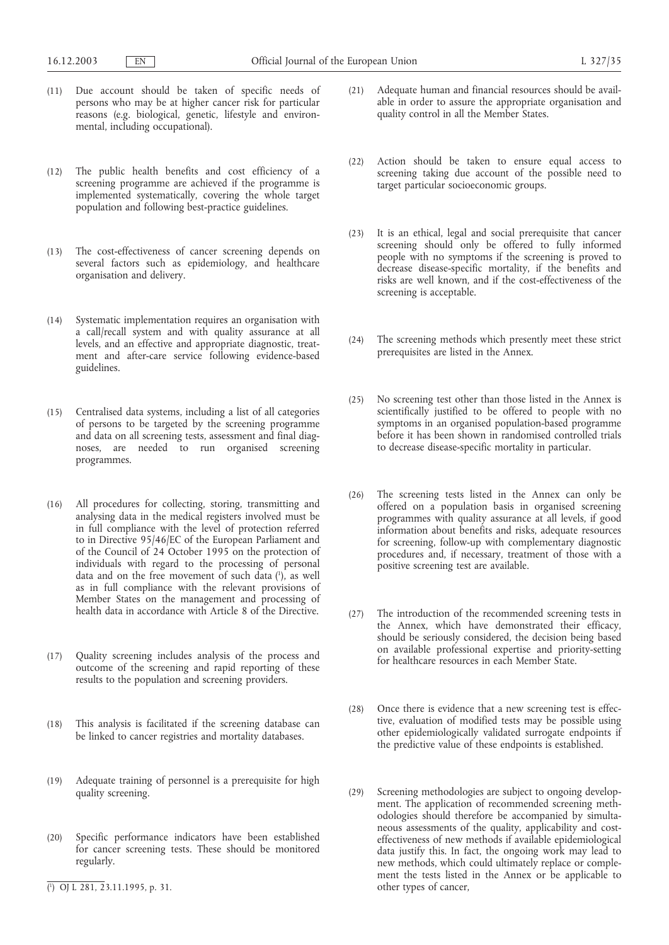- (11) Due account should be taken of specific needs of persons who may be at higher cancer risk for particular reasons (e.g. biological, genetic, lifestyle and environmental, including occupational).
- (12) The public health benefits and cost efficiency of a screening programme are achieved if the programme is implemented systematically, covering the whole target population and following best-practice guidelines.
- (13) The cost-effectiveness of cancer screening depends on several factors such as epidemiology, and healthcare organisation and delivery.
- (14) Systematic implementation requires an organisation with a call/recall system and with quality assurance at all levels, and an effective and appropriate diagnostic, treatment and after-care service following evidence-based guidelines.
- (15) Centralised data systems, including a list of all categories of persons to be targeted by the screening programme and data on all screening tests, assessment and final diagnoses, are needed to run organised screening programmes.
- (16) All procedures for collecting, storing, transmitting and analysing data in the medical registers involved must be in full compliance with the level of protection referred to in Directive 95/46/EC of the European Parliament and of the Council of 24 October 1995 on the protection of individuals with regard to the processing of personal data and on the free movement of such data (1 ), as well as in full compliance with the relevant provisions of Member States on the management and processing of health data in accordance with Article 8 of the Directive.
- (17) Quality screening includes analysis of the process and outcome of the screening and rapid reporting of these results to the population and screening providers.
- (18) This analysis is facilitated if the screening database can be linked to cancer registries and mortality databases.
- (19) Adequate training of personnel is a prerequisite for high quality screening.
- (20) Specific performance indicators have been established for cancer screening tests. These should be monitored regularly.
- ( 1 ) OJ L 281, 23.11.1995, p. 31.
- (21) Adequate human and financial resources should be available in order to assure the appropriate organisation and quality control in all the Member States.
- (22) Action should be taken to ensure equal access to screening taking due account of the possible need to target particular socioeconomic groups.
- (23) It is an ethical, legal and social prerequisite that cancer screening should only be offered to fully informed people with no symptoms if the screening is proved to decrease disease-specific mortality, if the benefits and risks are well known, and if the cost-effectiveness of the screening is acceptable.
- (24) The screening methods which presently meet these strict prerequisites are listed in the Annex.
- (25) No screening test other than those listed in the Annex is scientifically justified to be offered to people with no symptoms in an organised population-based programme before it has been shown in randomised controlled trials to decrease disease-specific mortality in particular.
- (26) The screening tests listed in the Annex can only be offered on a population basis in organised screening programmes with quality assurance at all levels, if good information about benefits and risks, adequate resources for screening, follow-up with complementary diagnostic procedures and, if necessary, treatment of those with a positive screening test are available.
- (27) The introduction of the recommended screening tests in the Annex, which have demonstrated their efficacy, should be seriously considered, the decision being based on available professional expertise and priority-setting for healthcare resources in each Member State.
- (28) Once there is evidence that a new screening test is effective, evaluation of modified tests may be possible using other epidemiologically validated surrogate endpoints if the predictive value of these endpoints is established.
- (29) Screening methodologies are subject to ongoing development. The application of recommended screening methodologies should therefore be accompanied by simultaneous assessments of the quality, applicability and costeffectiveness of new methods if available epidemiological data justify this. In fact, the ongoing work may lead to new methods, which could ultimately replace or complement the tests listed in the Annex or be applicable to other types of cancer,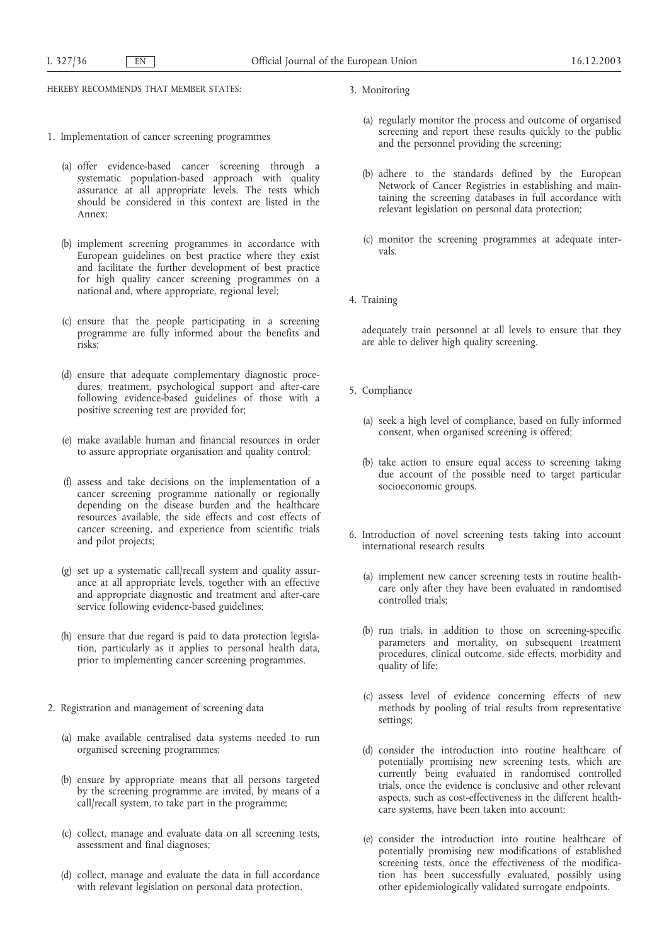HEREBY RECOMMENDS THAT MEMBER STATES:

- 1. Implementation of cancer screening programmes
	- (a) offer evidence-based cancer screening through a systematic population-based approach with quality assurance at all appropriate levels. The tests which should be considered in this context are listed in the Annex;
	- (b) implement screening programmes in accordance with European guidelines on best practice where they exist and facilitate the further development of best practice for high quality cancer screening programmes on a national and, where appropriate, regional level;
	- (c) ensure that the people participating in a screening programme are fully informed about the benefits and risks;
	- (d) ensure that adequate complementary diagnostic procedures, treatment, psychological support and after-care following evidence-based guidelines of those with a positive screening test are provided for;
	- (e) make available human and financial resources in order to assure appropriate organisation and quality control;
	- (f) assess and take decisions on the implementation of a cancer screening programme nationally or regionally depending on the disease burden and the healthcare resources available, the side effects and cost effects of cancer screening, and experience from scientific trials and pilot projects;
	- (g) set up a systematic call/recall system and quality assurance at all appropriate levels, together with an effective and appropriate diagnostic and treatment and after-care service following evidence-based guidelines;
	- (h) ensure that due regard is paid to data protection legislation, particularly as it applies to personal health data, prior to implementing cancer screening programmes.
- 2. Registration and management of screening data
	- (a) make available centralised data systems needed to run organised screening programmes;
	- (b) ensure by appropriate means that all persons targeted by the screening programme are invited, by means of a call/recall system, to take part in the programme;
	- (c) collect, manage and evaluate data on all screening tests, assessment and final diagnoses;
	- (d) collect, manage and evaluate the data in full accordance with relevant legislation on personal data protection.
- 3. Monitoring
	- (a) regularly monitor the process and outcome of organised screening and report these results quickly to the public and the personnel providing the screening;
	- (b) adhere to the standards defined by the European Network of Cancer Registries in establishing and maintaining the screening databases in full accordance with relevant legislation on personal data protection;
	- (c) monitor the screening programmes at adequate intervals.
- 4. Training

adequately train personnel at all levels to ensure that they are able to deliver high quality screening.

- 5. Compliance
	- (a) seek a high level of compliance, based on fully informed consent, when organised screening is offered;
	- (b) take action to ensure equal access to screening taking due account of the possible need to target particular socioeconomic groups.
- 6. Introduction of novel screening tests taking into account international research results
	- (a) implement new cancer screening tests in routine healthcare only after they have been evaluated in randomised controlled trials;
	- (b) run trials, in addition to those on screening-specific parameters and mortality, on subsequent treatment procedures, clinical outcome, side effects, morbidity and quality of life;
	- (c) assess level of evidence concerning effects of new methods by pooling of trial results from representative settings;
	- (d) consider the introduction into routine healthcare of potentially promising new screening tests, which are currently being evaluated in randomised controlled trials, once the evidence is conclusive and other relevant aspects, such as cost-effectiveness in the different healthcare systems, have been taken into account;
	- (e) consider the introduction into routine healthcare of potentially promising new modifications of established screening tests, once the effectiveness of the modification has been successfully evaluated, possibly using other epidemiologically validated surrogate endpoints.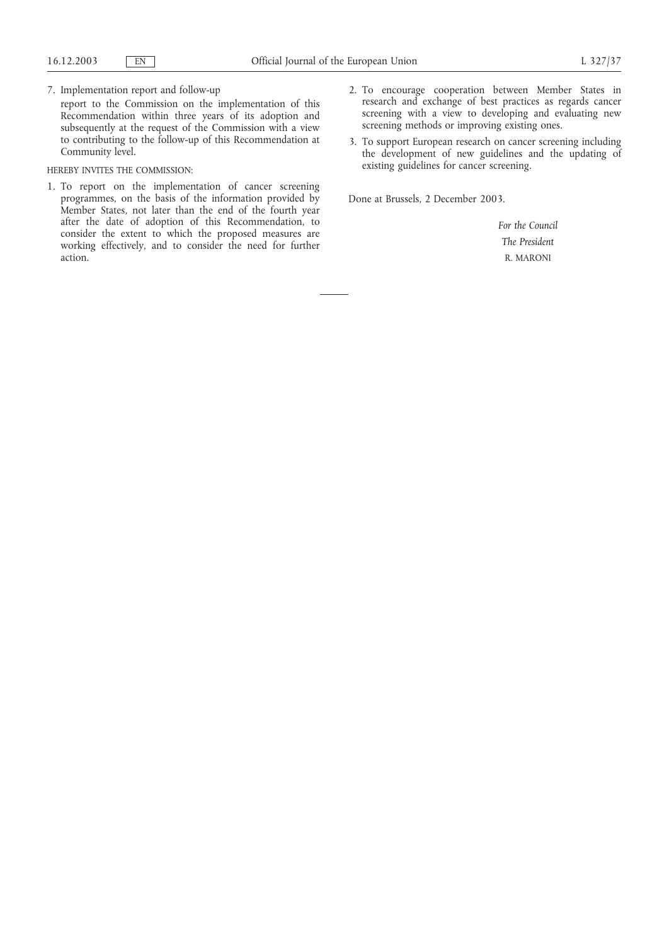#### 7. Implementation report and follow-up

report to the Commission on the implementation of this Recommendation within three years of its adoption and subsequently at the request of the Commission with a view to contributing to the follow-up of this Recommendation at Community level.

#### HEREBY INVITES THE COMMISSION:

- 1. To report on the implementation of cancer screening programmes, on the basis of the information provided by Member States, not later than the end of the fourth year after the date of adoption of this Recommendation, to consider the extent to which the proposed measures are working effectively, and to consider the need for further action.
- 2. To encourage cooperation between Member States in research and exchange of best practices as regards cancer screening with a view to developing and evaluating new screening methods or improving existing ones.
- 3. To support European research on cancer screening including the development of new guidelines and the updating of existing guidelines for cancer screening.

Done at Brussels, 2 December 2003.

*For the Council The President* R. MARONI